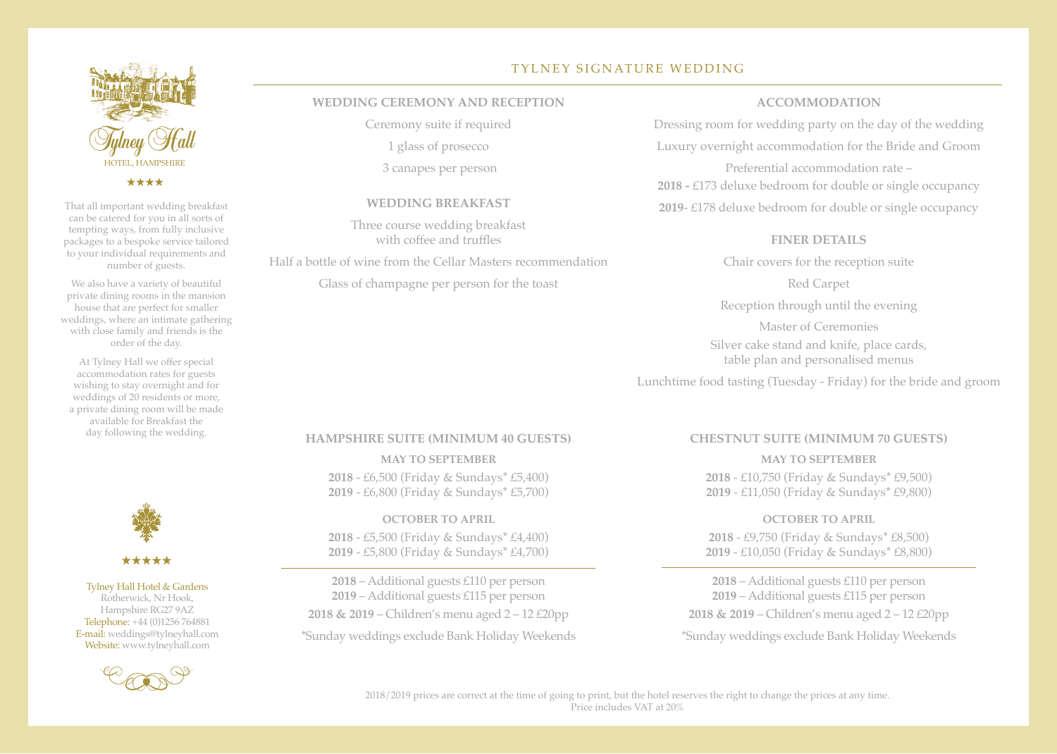

<u>لى بىل بىل بىل</u>

That all important wedding breakfast can be catered for you in all sorts of tempting ways, from fully inclusive packages to a bespoke service tailored to your individual requirements and number of guests.

We also have a variety of beautiful private dining rooms in the mansion house that are perfect for smaller weddings, where an intimate gathering with close family and friends is the order of the day.

At Tylney Hall we offer special accommodation rates for guests wishing to stay overnight and for weddings of 20 residents or more, a private dining room will be made available for Breakfast the day following the wedding.



Tylney Hall Hotel & Gardens Rotherwick, Nr Hook, Hampshire RG27 9AZ Telephone: +44 (0)1256 764881 E-mail: weddings@tylneyhall.com Website: www.tylneyhall.com



# TYLNEY SIGNATURE WEDDING

### **WEDDING CEREMONY AND RECEPTION**

Ceremony suite if required

1 glass of prosecco

3 canapes per person

#### **WEDDING BREAKFAST**

Three course wedding breakfast with coffee and truffles

Half a bottle of wine from the Cellar Masters recommendation

Glass of champagne per person for the toast

### **ACCOMMODATION**

Dressing room for wedding party on the day of the wedding Luxury overnight accommodation for the Bride and Groom Preferential accommodation rate – **2018 -** £173 deluxe bedroom for double or single occupancy **2019**- £178 deluxe bedroom for double or single occupancy

### **FINER DETAILS**

Chair covers for the reception suite

Red Carpet

Reception through until the evening

Master of Ceremonies Silver cake stand and knife, place cards, table plan and personalised menus

Lunchtime food tasting (Tuesday - Friday) for the bride and groom

#### **HAMPSHIRE SUITE (MINIMUM 40 GUESTS)**

**MAY TO SEPTEMBER 2018** - £6,500 (Friday & Sundays\* £5,400) **2019** - £6,800 (Friday & Sundays\* £5,700)

**OCTOBER TO APRIL 2018** - £5,500 (Friday & Sundays\* £4,400) **2019** - £5,800 (Friday & Sundays\* £4,700)

**2018** – Additional guests £110 per person **2019** – Additional guests £115 per person **2018 & 2019** – Children's menu aged 2 – 12 £20pp \*Sunday weddings exclude Bank Holiday Weekends

### **CHESTNUT SUITE (MINIMUM 70 GUESTS)**

## **MAY TO SEPTEMBER 2018** - £10,750 (Friday & Sundays\* £9,500) **2019** - £11,050 (Friday & Sundays\* £9,800)

**OCTOBER TO APRIL 2018** - £9,750 (Friday & Sundays\* £8,500) **2019** - £10,050 (Friday & Sundays\* £8,800)

**2018** – Additional guests £110 per person **2019** – Additional guests £115 per person **2018 & 2019** – Children's menu aged 2 – 12 £20pp

\*Sunday weddings exclude Bank Holiday Weekends

2018/2019 prices are correct at the time of going to print, but the hotel reserves the right to change the prices at any time. Price includes VAT at 20%